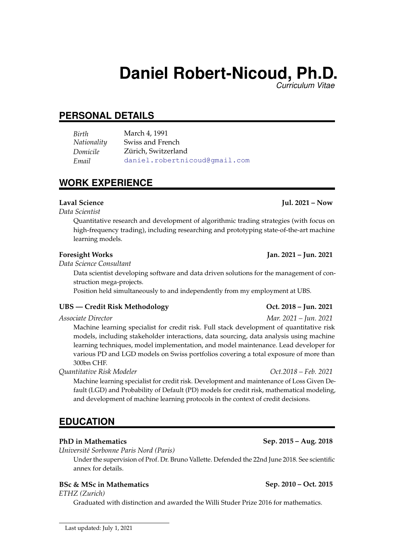# **Daniel Robert-Nicoud, Ph.D.**

*Curriculum Vitae*

# **PERSONAL DETAILS**

*Birth* March 4, 1991 *Nationality* Swiss and French *Domicile* Zürich, Switzerland *Email* daniel.robertnicoud@gmail.com

# **WORK EXPERIENCE**

*Data Scientist*

Quantitative research and development of algorithmic trading strategies (with focus on high-frequency trading), including researching and prototyping state-of-the-art machine learning models.

### **Foresight Works Jan. 2021 – Jun. 2021**

*Data Science Consultant*

Data scientist developing software and data driven solutions for the management of construction mega-projects.

Position held simultaneously to and independently from my employment at UBS.

### **UBS — Credit Risk Methodology Oct. 2018 – Jun. 2021**

Machine learning specialist for credit risk. Full stack development of quantitative risk models, including stakeholder interactions, data sourcing, data analysis using machine learning techniques, model implementation, and model maintenance. Lead developer for various PD and LGD models on Swiss portfolios covering a total exposure of more than 300bn CHF.

*Quantitative Risk Modeler Oct.2018 – Feb. 2021*

Machine learning specialist for credit risk. Development and maintenance of Loss Given Default (LGD) and Probability of Default (PD) models for credit risk, mathematical modeling, and development of machine learning protocols in the context of credit decisions.

# **EDUCATION**

### **PhD in Mathematics Sep. 2015 – Aug. 2018**

*Universit´e Sorbonne Paris Nord (Paris)*

Under the supervision of Prof. Dr. Bruno Vallette. Defended the 22nd June 2018. See scientific annex for details.

### **BSc & MSc in Mathematics Sep. 2010 – Oct. 2015**

*ETHZ (Zurich)*

Graduated with distinction and awarded the Willi Studer Prize 2016 for mathematics.

*Associate Director Mar. 2021 – Jun. 2021*

### **Laval Science Jul. 2021 – Now**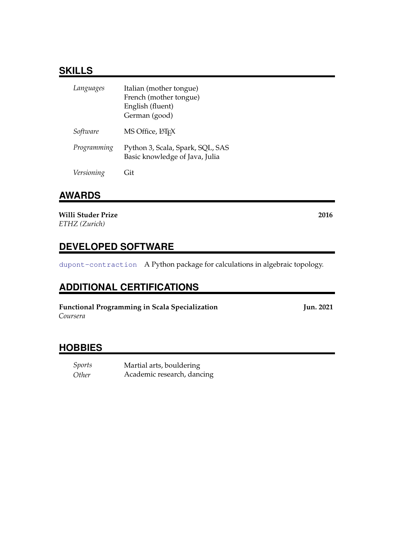# **SKILLS**

| Languages   | Italian (mother tongue)<br>French (mother tongue)<br>English (fluent)<br>German (good) |
|-------------|----------------------------------------------------------------------------------------|
| Software    | MS Office, LATFX                                                                       |
| Programming | Python 3, Scala, Spark, SQL, SAS<br>Basic knowledge of Java, Julia                     |
| Versioning  | ≒it                                                                                    |

## **AWARDS**

**Willi Studer Prize 2016** *ETHZ (Zurich)*

# **DEVELOPED SOFTWARE**

dupont-contraction A Python package for calculations in algebraic topology.

# **ADDITIONAL CERTIFICATIONS**

**Functional Programming in Scala Specialization Jun. 2021** *Coursera*

# **HOBBIES**

*Sports* Martial arts, bouldering *Other* Academic research, dancing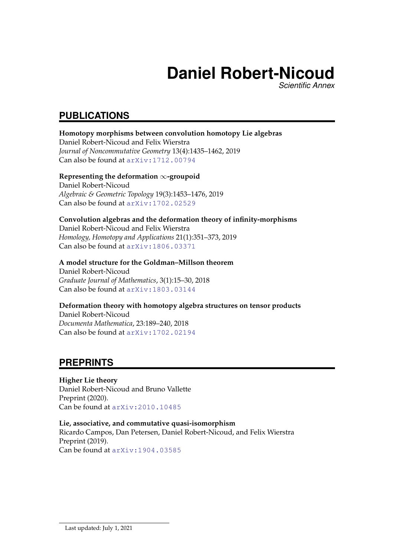# **Daniel Robert-Nicoud**

*Scientific Annex*

# **PUBLICATIONS**

### **Homotopy morphisms between convolution homotopy Lie algebras** Daniel Robert-Nicoud and Felix Wierstra

*Journal of Noncommutative Geometry* 13(4):1435–1462, 2019 Can also be found at arXiv:1712.00794

### **Representing the deformation** ∞**-groupoid**

Daniel Robert-Nicoud *Algebraic & Geometric Topology* 19(3):1453–1476, 2019 Can also be found at arXiv:1702.02529

## **Convolution algebras and the deformation theory of infinity-morphisms** Daniel Robert-Nicoud and Felix Wierstra *Homology, Homotopy and Applications* 21(1):351–373, 2019

Can also be found at arXiv:1806.03371

## **A model structure for the Goldman–Millson theorem**

Daniel Robert-Nicoud *Graduate Journal of Mathematics*, 3(1):15–30, 2018 Can also be found at arXiv:1803.03144

### **Deformation theory with homotopy algebra structures on tensor products**

Daniel Robert-Nicoud *Documenta Mathematica*, 23:189–240, 2018 Can also be found at arXiv:1702.02194

# **PREPRINTS**

### **Higher Lie theory**

Daniel Robert-Nicoud and Bruno Vallette Preprint (2020). Can be found at arXiv:2010.10485

# **Lie, associative, and commutative quasi-isomorphism**

Ricardo Campos, Dan Petersen, Daniel Robert-Nicoud, and Felix Wierstra Preprint (2019). Can be found at arXiv:1904.03585